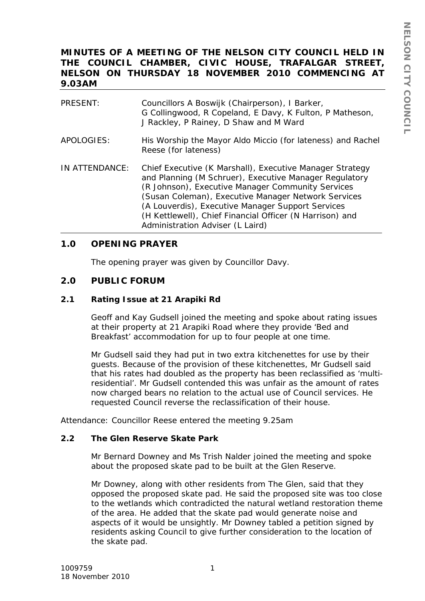# **MINUTES OF A MEETING OF THE NELSON CITY COUNCIL HELD IN THE COUNCIL CHAMBER, CIVIC HOUSE, TRAFALGAR STREET, NELSON ON THURSDAY 18 NOVEMBER 2010 COMMENCING AT 9.03AM**

| PRESENT:       | Councillors A Boswijk (Chairperson), I Barker,<br>G Collingwood, R Copeland, E Davy, K Fulton, P Matheson,<br>J Rackley, P Rainey, D Shaw and M Ward                                                                                                                                                                                                                                |
|----------------|-------------------------------------------------------------------------------------------------------------------------------------------------------------------------------------------------------------------------------------------------------------------------------------------------------------------------------------------------------------------------------------|
| APOLOGIES:     | His Worship the Mayor Aldo Miccio (for lateness) and Rachel<br>Reese (for lateness)                                                                                                                                                                                                                                                                                                 |
| IN ATTENDANCE: | Chief Executive (K Marshall), Executive Manager Strategy<br>and Planning (M Schruer), Executive Manager Regulatory<br>(R Johnson), Executive Manager Community Services<br>(Susan Coleman), Executive Manager Network Services<br>(A Louverdis), Executive Manager Support Services<br>(H Kettlewell), Chief Financial Officer (N Harrison) and<br>Administration Adviser (L Laird) |

## **1.0 OPENING PRAYER**

The opening prayer was given by Councillor Davy.

## **2.0 PUBLIC FORUM**

#### **2.1 Rating Issue at 21 Arapiki Rd**

Geoff and Kay Gudsell joined the meeting and spoke about rating issues at their property at 21 Arapiki Road where they provide 'Bed and Breakfast' accommodation for up to four people at one time.

Mr Gudsell said they had put in two extra kitchenettes for use by their guests. Because of the provision of these kitchenettes, Mr Gudsell said that his rates had doubled as the property has been reclassified as 'multiresidential'. Mr Gudsell contended this was unfair as the amount of rates now charged bears no relation to the actual use of Council services. He requested Council reverse the reclassification of their house.

Attendance: Councillor Reese entered the meeting 9.25am

#### **2.2 The Glen Reserve Skate Park**

Mr Bernard Downey and Ms Trish Nalder joined the meeting and spoke about the proposed skate pad to be built at the Glen Reserve.

Mr Downey, along with other residents from The Glen, said that they opposed the proposed skate pad. He said the proposed site was too close to the wetlands which contradicted the natural wetland restoration theme of the area. He added that the skate pad would generate noise and aspects of it would be unsightly. Mr Downey tabled a petition signed by residents asking Council to give further consideration to the location of the skate pad.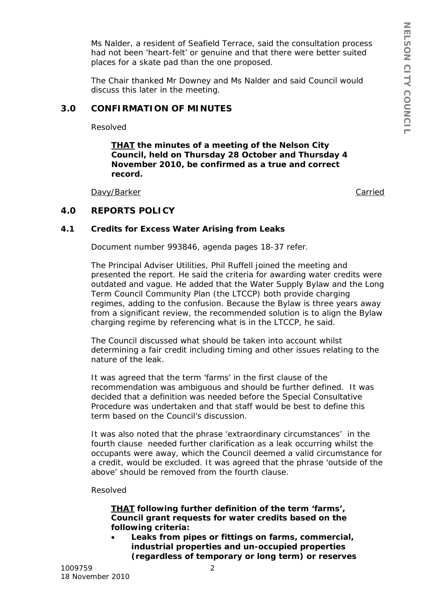Ms Nalder, a resident of Seafield Terrace, said the consultation process had not been 'heart-felt' or genuine and that there were better suited places for a skate pad than the one proposed.

The Chair thanked Mr Downey and Ms Nalder and said Council would discuss this later in the meeting.

# **3.0 CONFIRMATION OF MINUTES**

Resolved

*THAT the minutes of a meeting of the Nelson City Council, held on Thursday 28 October and Thursday 4 November 2010, be confirmed as a true and correct record.*

Davy/Barker

Carried

# **4.0 REPORTS POLICY**

## **4.1 Credits for Excess Water Arising from Leaks**

Document number 993846, agenda pages 18-37 refer.

The Principal Adviser Utilities, Phil Ruffell joined the meeting and presented the report. He said the criteria for awarding water credits were outdated and vague. He added that the Water Supply Bylaw and the Long Term Council Community Plan (the LTCCP) both provide charging regimes, adding to the confusion. Because the Bylaw is three years away from a significant review, the recommended solution is to align the Bylaw charging regime by referencing what is in the LTCCP, he said.

The Council discussed what should be taken into account whilst determining a fair credit including timing and other issues relating to the nature of the leak.

It was agreed that the term 'farms' in the first clause of the recommendation was ambiguous and should be further defined. It was decided that a definition was needed before the Special Consultative Procedure was undertaken and that staff would be best to define this term based on the Council's discussion.

It was also noted that the phrase 'extraordinary circumstances' in the fourth clause needed further clarification as a leak occurring whilst the occupants were away, which the Council deemed a valid circumstance for a credit, would be excluded. It was agreed that the phrase 'outside of the above' should be removed from the fourth clause.

#### Resolved

## *THAT following further definition of the term 'farms', Council grant requests for water credits based on the following criteria:*

• *Leaks from pipes or fittings on farms, commercial, industrial properties and un-occupied properties (regardless of temporary or long term) or reserves*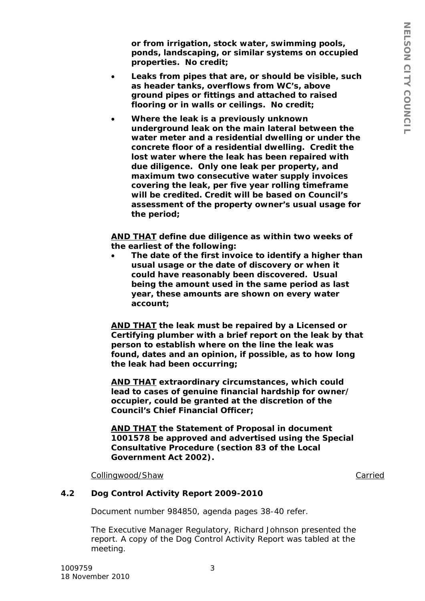*or from irrigation, stock water, swimming pools, ponds, landscaping, or similar systems on occupied properties. No credit;*

- *Leaks from pipes that are, or should be visible, such as header tanks, overflows from WC's, above ground pipes or fittings and attached to raised flooring or in walls or ceilings. No credit;*
- *Where the leak is a previously unknown underground leak on the main lateral between the water meter and a residential dwelling or under the concrete floor of a residential dwelling. Credit the lost water where the leak has been repaired with due diligence. Only one leak per property, and maximum two consecutive water supply invoices covering the leak, per five year rolling timeframe will be credited. Credit will be based on Council's assessment of the property owner's usual usage for the period;*

*AND THAT define due diligence as within two weeks of the earliest of the following:*

• *The date of the first invoice to identify a higher than usual usage or the date of discovery or when it could have reasonably been discovered. Usual being the amount used in the same period as last year, these amounts are shown on every water account;*

*AND THAT the leak must be repaired by a Licensed or Certifying plumber with a brief report on the leak by that person to establish where on the line the leak was found, dates and an opinion, if possible, as to how long the leak had been occurring;*

*AND THAT extraordinary circumstances, which could lead to cases of genuine financial hardship for owner/ occupier, could be granted at the discretion of the Council's Chief Financial Officer;*

*AND THAT the Statement of Proposal in document 1001578 be approved and advertised using the Special Consultative Procedure (section 83 of the Local Government Act 2002).*

Collingwood/Shaw

**Carried** 

#### **4.2 Dog Control Activity Report 2009-2010**

Document number 984850, agenda pages 38-40 refer.

The Executive Manager Regulatory, Richard Johnson presented the report. A copy of the Dog Control Activity Report was tabled at the meeting.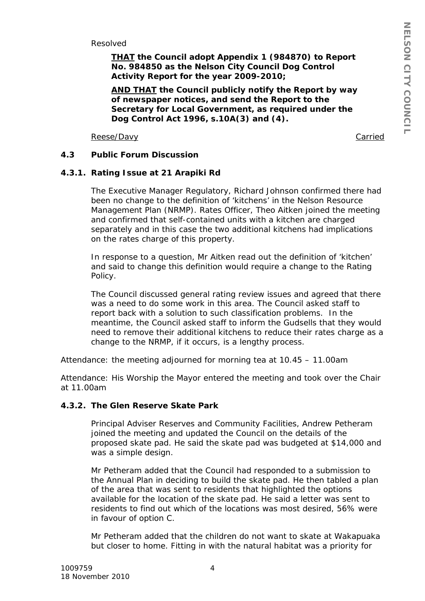Resolved

*THAT the Council adopt Appendix 1 (984870) to Report No. 984850 as the Nelson City Council Dog Control Activity Report for the year 2009-2010;*

*AND THAT the Council publicly notify the Report by way of newspaper notices, and send the Report to the Secretary for Local Government, as required under the Dog Control Act 1996, s.10A(3) and (4).*

Reese/Davy **Carried** 

## **4.3 Public Forum Discussion**

## **4.3.1. Rating Issue at 21 Arapiki Rd**

The Executive Manager Regulatory, Richard Johnson confirmed there had been no change to the definition of 'kitchens' in the Nelson Resource Management Plan (NRMP). Rates Officer, Theo Aitken joined the meeting and confirmed that self-contained units with a kitchen are charged separately and in this case the two additional kitchens had implications on the rates charge of this property.

In response to a question, Mr Aitken read out the definition of 'kitchen' and said to change this definition would require a change to the Rating Policy.

The Council discussed general rating review issues and agreed that there was a need to do some work in this area. The Council asked staff to report back with a solution to such classification problems. In the meantime, the Council asked staff to inform the Gudsells that they would need to remove their additional kitchens to reduce their rates charge as a change to the NRMP, if it occurs, is a lengthy process.

Attendance: the meeting adjourned for morning tea at 10.45 – 11.00am

Attendance: His Worship the Mayor entered the meeting and took over the Chair at 11.00am

#### **4.3.2. The Glen Reserve Skate Park**

Principal Adviser Reserves and Community Facilities, Andrew Petheram joined the meeting and updated the Council on the details of the proposed skate pad. He said the skate pad was budgeted at \$14,000 and was a simple design.

Mr Petheram added that the Council had responded to a submission to the Annual Plan in deciding to build the skate pad. He then tabled a plan of the area that was sent to residents that highlighted the options available for the location of the skate pad. He said a letter was sent to residents to find out which of the locations was most desired, 56% were in favour of option C.

Mr Petheram added that the children do not want to skate at Wakapuaka but closer to home. Fitting in with the natural habitat was a priority for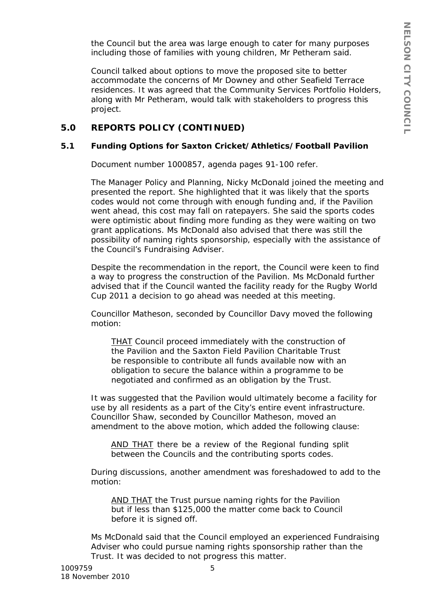the Council but the area was large enough to cater for many purposes including those of families with young children, Mr Petheram said.

Council talked about options to move the proposed site to better accommodate the concerns of Mr Downey and other Seafield Terrace residences. It was agreed that the Community Services Portfolio Holders, along with Mr Petheram, would talk with stakeholders to progress this project.

# **5.0 REPORTS POLICY (CONTINUED)**

## **5.1 Funding Options for Saxton Cricket/Athletics/Football Pavilion**

Document number 1000857, agenda pages 91-100 refer.

The Manager Policy and Planning, Nicky McDonald joined the meeting and presented the report. She highlighted that it was likely that the sports codes would not come through with enough funding and, if the Pavilion went ahead, this cost may fall on ratepayers. She said the sports codes were optimistic about finding more funding as they were waiting on two grant applications. Ms McDonald also advised that there was still the possibility of naming rights sponsorship, especially with the assistance of the Council's Fundraising Adviser.

Despite the recommendation in the report, the Council were keen to find a way to progress the construction of the Pavilion. Ms McDonald further advised that if the Council wanted the facility ready for the Rugby World Cup 2011 a decision to go ahead was needed at this meeting.

Councillor Matheson, seconded by Councillor Davy moved the following motion:

*THAT Council proceed immediately with the construction of the Pavilion and the Saxton Field Pavilion Charitable Trust be responsible to contribute all funds available now with an obligation to secure the balance within a programme to be negotiated and confirmed as an obligation by the Trust.*

It was suggested that the Pavilion would ultimately become a facility for use by all residents as a part of the City's entire event infrastructure. Councillor Shaw, seconded by Councillor Matheson, moved an amendment to the above motion, which added the following clause:

*AND THAT there be a review of the Regional funding split between the Councils and the contributing sports codes.* 

During discussions, another amendment was foreshadowed to add to the motion:

*AND THAT the Trust pursue naming rights for the Pavilion but if less than \$125,000 the matter come back to Council before it is signed off.*

Ms McDonald said that the Council employed an experienced Fundraising Adviser who could pursue naming rights sponsorship rather than the Trust. It was decided to not progress this matter.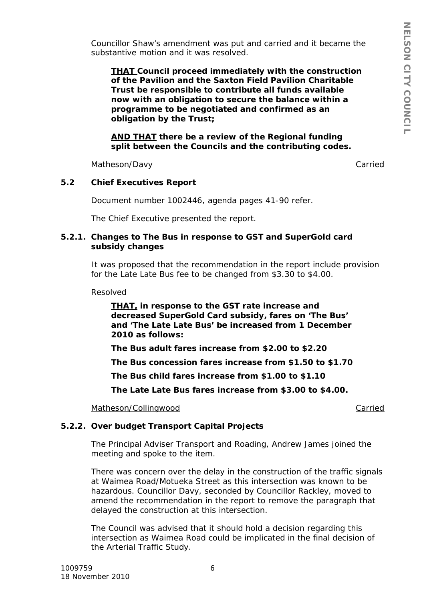Councillor Shaw's amendment was put and carried and it became the substantive motion and it was resolved.

*THAT Council proceed immediately with the construction of the Pavilion and the Saxton Field Pavilion Charitable Trust be responsible to contribute all funds available now with an obligation to secure the balance within a programme to be negotiated and confirmed as an obligation by the Trust;*

*AND THAT there be a review of the Regional funding split between the Councils and the contributing codes.* 

Matheson/Davy **Carried** 

## **5.2 Chief Executives Report**

Document number 1002446, agenda pages 41-90 refer.

The Chief Executive presented the report.

#### **5.2.1. Changes to The Bus in response to GST and SuperGold card subsidy changes**

It was proposed that the recommendation in the report include provision for the Late Late Bus fee to be changed from \$3.30 to \$4.00.

Resolved

*THAT, in response to the GST rate increase and decreased SuperGold Card subsidy, fares on 'The Bus' and 'The Late Late Bus' be increased from 1 December 2010 as follows:*

*The Bus adult fares increase from \$2.00 to \$2.20*

*The Bus concession fares increase from \$1.50 to \$1.70*

*The Bus child fares increase from \$1.00 to \$1.10*

*The Late Late Bus fares increase from \$3.00 to \$4.00.*

Matheson/Collingwood **Carried** Carried Carried Carried Carried Carried Carried Carried Carried Carried Carried Carried Carried Carried Carried Carried Carried Carried Carried Carried Carried Carried Carried Carried Carried

## **5.2.2. Over budget Transport Capital Projects**

The Principal Adviser Transport and Roading, Andrew James joined the meeting and spoke to the item.

There was concern over the delay in the construction of the traffic signals at Waimea Road/Motueka Street as this intersection was known to be hazardous. Councillor Davy, seconded by Councillor Rackley, moved to amend the recommendation in the report to remove the paragraph that delayed the construction at this intersection.

The Council was advised that it should hold a decision regarding this intersection as Waimea Road could be implicated in the final decision of the Arterial Traffic Study.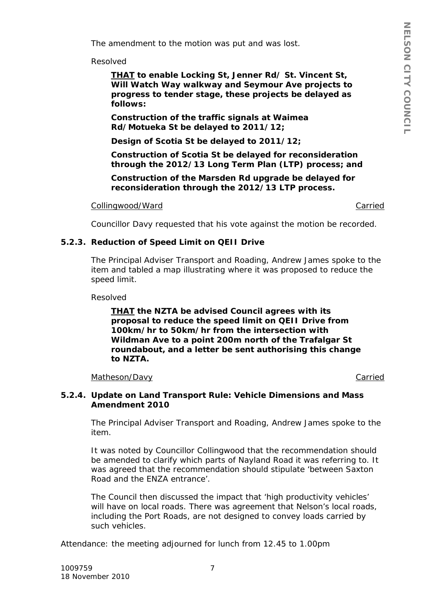The amendment to the motion was put and was lost.

Resolved

*THAT to enable Locking St, Jenner Rd/ St. Vincent St, Will Watch Way walkway and Seymour Ave projects to progress to tender stage, these projects be delayed as follows:*

*Construction of the traffic signals at Waimea Rd/Motueka St be delayed to 2011/12;*

*Design of Scotia St be delayed to 2011/12;*

*Construction of Scotia St be delayed for reconsideration through the 2012/13 Long Term Plan (LTP) process; and* 

*Construction of the Marsden Rd upgrade be delayed for reconsideration through the 2012/13 LTP process.*

Collingwood/Ward Carried

Councillor Davy requested that his vote against the motion be recorded.

#### **5.2.3. Reduction of Speed Limit on QEII Drive**

The Principal Adviser Transport and Roading, Andrew James spoke to the item and tabled a map illustrating where it was proposed to reduce the speed limit.

Resolved

*THAT the NZTA be advised Council agrees with its proposal to reduce the speed limit on QEII Drive from 100km/hr to 50km/hr from the intersection with Wildman Ave to a point 200m north of the Trafalgar St roundabout, and a letter be sent authorising this change to NZTA.*

#### Matheson/Davy **Carried**

#### **5.2.4. Update on Land Transport Rule: Vehicle Dimensions and Mass Amendment 2010**

The Principal Adviser Transport and Roading, Andrew James spoke to the item.

It was noted by Councillor Collingwood that the recommendation should be amended to clarify which parts of Nayland Road it was referring to. It was agreed that the recommendation should stipulate 'between Saxton Road and the ENZA entrance'.

The Council then discussed the impact that 'high productivity vehicles' will have on local roads. There was agreement that Nelson's local roads, including the Port Roads, are not designed to convey loads carried by such vehicles.

Attendance: the meeting adjourned for lunch from 12.45 to 1.00pm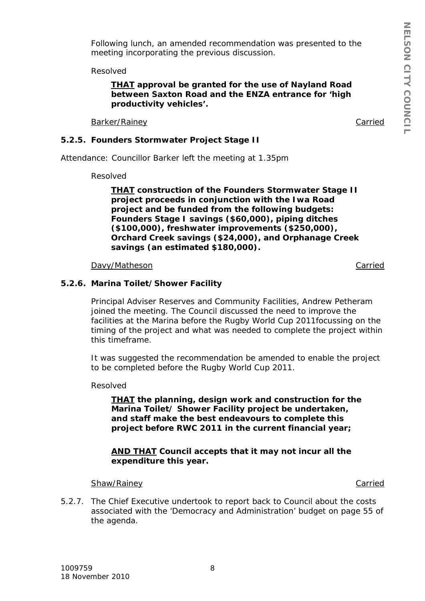Following lunch, an amended recommendation was presented to the meeting incorporating the previous discussion.

Resolved

#### *THAT approval be granted for the use of Nayland Road between Saxton Road and the ENZA entrance for 'high productivity vehicles'.*

Barker/Rainey **Carried** 

## **5.2.5. Founders Stormwater Project Stage II**

Attendance: Councillor Barker left the meeting at 1.35pm

Resolved

*THAT construction of the Founders Stormwater Stage II project proceeds in conjunction with the Iwa Road project and be funded from the following budgets: Founders Stage I savings (\$60,000), piping ditches (\$100,000), freshwater improvements (\$250,000), Orchard Creek savings (\$24,000), and Orphanage Creek savings (an estimated \$180,000).*

#### Davy/Matheson **Carried**

## **5.2.6. Marina Toilet/Shower Facility**

Principal Adviser Reserves and Community Facilities, Andrew Petheram joined the meeting. The Council discussed the need to improve the facilities at the Marina before the Rugby World Cup 2011focussing on the timing of the project and what was needed to complete the project within this timeframe.

It was suggested the recommendation be amended to enable the project to be completed before the Rugby World Cup 2011.

Resolved

*THAT the planning, design work and construction for the Marina Toilet/ Shower Facility project be undertaken, and staff make the best endeavours to complete this project before RWC 2011 in the current financial year;*

#### *AND THAT Council accepts that it may not incur all the expenditure this year.*

#### Shaw/Rainey **Carried** Carried Carried Carried Carried Carried Carried Carried Carried Carried Carried Carried Carried Carried Carried Carried Carried Carried Carried Carried Carried Carried Carried Carried Carried Carried

5.2.7. The Chief Executive undertook to report back to Council about the costs associated with the 'Democracy and Administration' budget on page 55 of the agenda.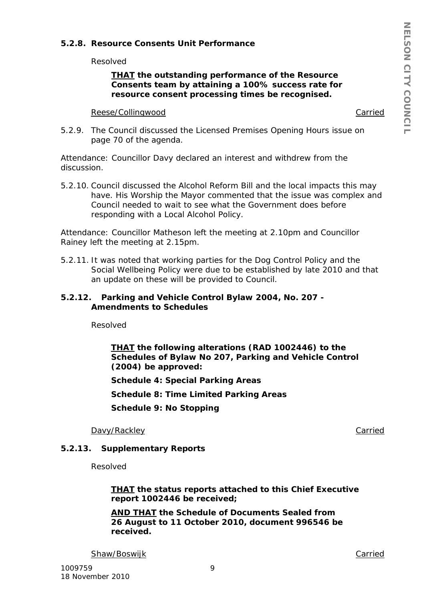## **5.2.8. Resource Consents Unit Performance**

Resolved

#### *THAT the outstanding performance of the Resource Consents team by attaining a 100% success rate for resource consent processing times be recognised.*

#### Reese/Collingwood **Carried** Carried Carried Carried Carried Carried Carried Carried Carried Carried Carried Carried Carried Carried Carried Carried Carried Carried Carried Carried Carried Carried Carried Carried Carried Ca

5.2.9. The Council discussed the Licensed Premises Opening Hours issue on page 70 of the agenda.

Attendance: Councillor Davy declared an interest and withdrew from the discussion.

5.2.10. Council discussed the Alcohol Reform Bill and the local impacts this may have. His Worship the Mayor commented that the issue was complex and Council needed to wait to see what the Government does before responding with a Local Alcohol Policy.

Attendance: Councillor Matheson left the meeting at 2.10pm and Councillor Rainey left the meeting at 2.15pm.

5.2.11. It was noted that working parties for the Dog Control Policy and the Social Wellbeing Policy were due to be established by late 2010 and that an update on these will be provided to Council.

#### **5.2.12. Parking and Vehicle Control Bylaw 2004, No. 207 - Amendments to Schedules**

Resolved

*THAT the following alterations (RAD 1002446) to the Schedules of Bylaw No 207, Parking and Vehicle Control (2004) be approved:*

*Schedule 4: Special Parking Areas*

*Schedule 8: Time Limited Parking Areas*

*Schedule 9: No Stopping*

Davy/Rackley **Carried** 

#### **5.2.13. Supplementary Reports**

Resolved

*THAT the status reports attached to this Chief Executive report 1002446 be received;*

*AND THAT the Schedule of Documents Sealed from 26 August to 11 October 2010, document 996546 be received.*

Shaw/Boswijk **Carried** Carried Carried Carried Carried Carried Carried Carried Carried Carried Carried Carried Carried Carried Carried Carried Carried Carried Carried Carried Carried Carried Carried Carried Carried Carried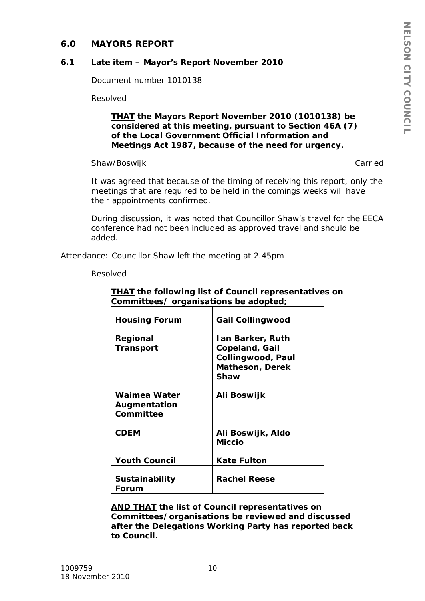## **6.0 MAYORS REPORT**

## **6.1 Late item – Mayor's Report November 2010**

Document number 1010138

Resolved

#### *THAT the Mayors Report November 2010 (1010138) be considered at this meeting, pursuant to Section 46A (7) of the Local Government Official Information and Meetings Act 1987, because of the need for urgency.*

## Shaw/Boswijk Carried

It was agreed that because of the timing of receiving this report, only the meetings that are required to be held in the comings weeks will have their appointments confirmed.

During discussion, it was noted that Councillor Shaw's travel for the EECA conference had not been included as approved travel and should be added.

Attendance: Councillor Shaw left the meeting at 2.45pm

Resolved

| <b>Housing Forum</b>                      | <b>Gail Collingwood</b>                                                                                        |
|-------------------------------------------|----------------------------------------------------------------------------------------------------------------|
| Regional<br><b>Transport</b>              | <b>Ian Barker, Ruth</b><br><b>Copeland, Gail</b><br><b>Collingwood, Paul</b><br><b>Matheson, Derek</b><br>Shaw |
| Waimea Water<br>Augmentation<br>Committee | Ali Boswijk                                                                                                    |
| <i><b>CDEM</b></i>                        | Ali Boswijk, Aldo<br>Miccio                                                                                    |
| <b>Youth Council</b>                      | <b>Kate Fulton</b>                                                                                             |
| <b>Sustainability</b><br>Forum            | <b>Rachel Reese</b>                                                                                            |

## *THAT the following list of Council representatives on Committees/ organisations be adopted;*

*AND THAT the list of Council representatives on Committees/organisations be reviewed and discussed after the Delegations Working Party has reported back to Council.*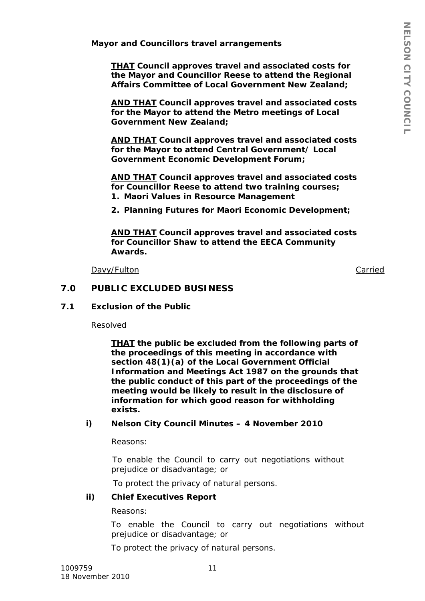**Mayor and Councillors travel arrangements**

*THAT Council approves travel and associated costs for the Mayor and Councillor Reese to attend the Regional Affairs Committee of Local Government New Zealand;*

*AND THAT Council approves travel and associated costs for the Mayor to attend the Metro meetings of Local Government New Zealand;*

*AND THAT Council approves travel and associated costs for the Mayor to attend Central Government/ Local Government Economic Development Forum;*

*AND THAT Council approves travel and associated costs for Councillor Reese to attend two training courses; 1. Maori Values in Resource Management*

*2. Planning Futures for Maori Economic Development;*

*AND THAT Council approves travel and associated costs for Councillor Shaw to attend the EECA Community Awards.*

Davy/Fulton Carried

#### **7.0 PUBLIC EXCLUDED BUSINESS**

#### **7.1 Exclusion of the Public**

Resolved

*THAT the public be excluded from the following parts of the proceedings of this meeting in accordance with section 48(1)(a) of the Local Government Official Information and Meetings Act 1987 on the grounds that the public conduct of this part of the proceedings of the meeting would be likely to result in the disclosure of information for which good reason for withholding exists.*

#### *i) Nelson City Council Minutes – 4 November 2010*

*Reasons:*

*To enable the Council to carry out negotiations without prejudice or disadvantage; or*

 *To protect the privacy of natural persons.*

#### *ii) Chief Executives Report*

#### *Reasons:*

*To enable the Council to carry out negotiations without prejudice or disadvantage; or*

*To protect the privacy of natural persons.*